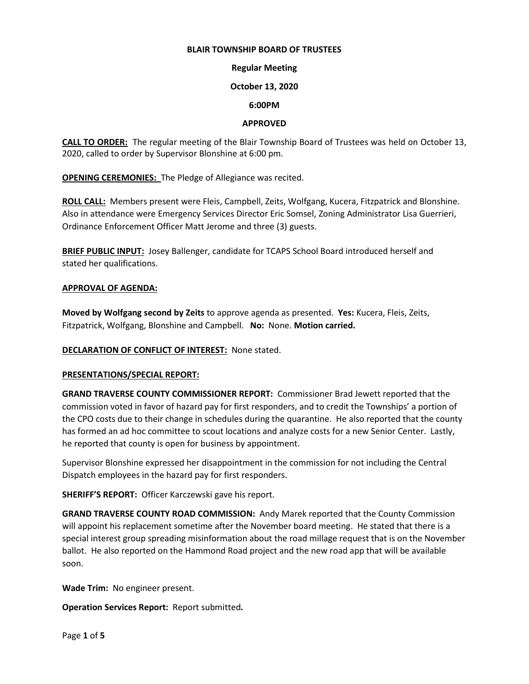#### **BLAIR TOWNSHIP BOARD OF TRUSTEES**

# **Regular Meeting**

## **October 13, 2020**

# **6:00PM**

# **APPROVED**

**CALL TO ORDER:** The regular meeting of the Blair Township Board of Trustees was held on October 13, 2020, called to order by Supervisor Blonshine at 6:00 pm.

**OPENING CEREMONIES:** The Pledge of Allegiance was recited.

**ROLL CALL:** Members present were Fleis, Campbell, Zeits, Wolfgang, Kucera, Fitzpatrick and Blonshine. Also in attendance were Emergency Services Director Eric Somsel, Zoning Administrator Lisa Guerrieri, Ordinance Enforcement Officer Matt Jerome and three (3) guests.

**BRIEF PUBLIC INPUT:** Josey Ballenger, candidate for TCAPS School Board introduced herself and stated her qualifications.

# **APPROVAL OF AGENDA:**

**Moved by Wolfgang second by Zeits** to approve agenda as presented. **Yes:** Kucera, Fleis, Zeits, Fitzpatrick, Wolfgang, Blonshine and Campbell. **No:** None. **Motion carried.**

**DECLARATION OF CONFLICT OF INTEREST:** None stated.

# **PRESENTATIONS/SPECIAL REPORT:**

**GRAND TRAVERSE COUNTY COMMISSIONER REPORT:** Commissioner Brad Jewett reported that the commission voted in favor of hazard pay for first responders, and to credit the Townships' a portion of the CPO costs due to their change in schedules during the quarantine. He also reported that the county has formed an ad hoc committee to scout locations and analyze costs for a new Senior Center. Lastly, he reported that county is open for business by appointment.

Supervisor Blonshine expressed her disappointment in the commission for not including the Central Dispatch employees in the hazard pay for first responders.

**SHERIFF'S REPORT:** Officer Karczewski gave his report.

**GRAND TRAVERSE COUNTY ROAD COMMISSION:** Andy Marek reported that the County Commission will appoint his replacement sometime after the November board meeting. He stated that there is a special interest group spreading misinformation about the road millage request that is on the November ballot. He also reported on the Hammond Road project and the new road app that will be available soon.

**Wade Trim:** No engineer present.

**Operation Services Report:** Report submitted*.*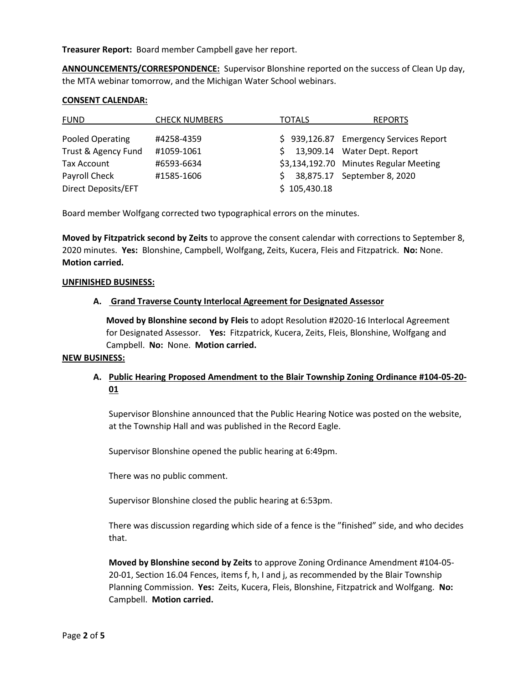**Treasurer Report:** Board member Campbell gave her report.

**ANNOUNCEMENTS/CORRESPONDENCE:** Supervisor Blonshine reported on the success of Clean Up day, the MTA webinar tomorrow, and the Michigan Water School webinars.

#### **CONSENT CALENDAR:**

| <b>FUND</b>         | <b>CHECK NUMBERS</b> | <b>TOTALS</b> | <b>REPORTS</b>                         |
|---------------------|----------------------|---------------|----------------------------------------|
| Pooled Operating    | #4258-4359           |               | \$939,126.87 Emergency Services Report |
| Trust & Agency Fund | #1059-1061           | S.            | 13,909.14 Water Dept. Report           |
| Tax Account         | #6593-6634           |               | \$3,134,192.70 Minutes Regular Meeting |
| Payroll Check       | #1585-1606           | S.            | 38,875.17 September 8, 2020            |
| Direct Deposits/EFT |                      | \$105,430.18  |                                        |

Board member Wolfgang corrected two typographical errors on the minutes.

**Moved by Fitzpatrick second by Zeits** to approve the consent calendar with corrections to September 8, 2020 minutes. **Yes:** Blonshine, Campbell, Wolfgang, Zeits, Kucera, Fleis and Fitzpatrick. **No:** None. **Motion carried.**

#### **UNFINISHED BUSINESS:**

#### **A. Grand Traverse County Interlocal Agreement for Designated Assessor**

 **Moved by Blonshine second by Fleis** to adopt Resolution #2020-16 Interlocal Agreement for Designated Assessor. **Yes:** Fitzpatrick, Kucera, Zeits, Fleis, Blonshine, Wolfgang and Campbell. **No:** None. **Motion carried.**

#### **NEW BUSINESS:**

# **A. Public Hearing Proposed Amendment to the Blair Township Zoning Ordinance #104-05-20- 01**

Supervisor Blonshine announced that the Public Hearing Notice was posted on the website, at the Township Hall and was published in the Record Eagle.

Supervisor Blonshine opened the public hearing at 6:49pm.

There was no public comment.

Supervisor Blonshine closed the public hearing at 6:53pm.

There was discussion regarding which side of a fence is the "finished" side, and who decides that.

**Moved by Blonshine second by Zeits** to approve Zoning Ordinance Amendment #104-05- 20-01, Section 16.04 Fences, items f, h, I and j, as recommended by the Blair Township Planning Commission. **Yes:** Zeits, Kucera, Fleis, Blonshine, Fitzpatrick and Wolfgang. **No:** Campbell. **Motion carried.**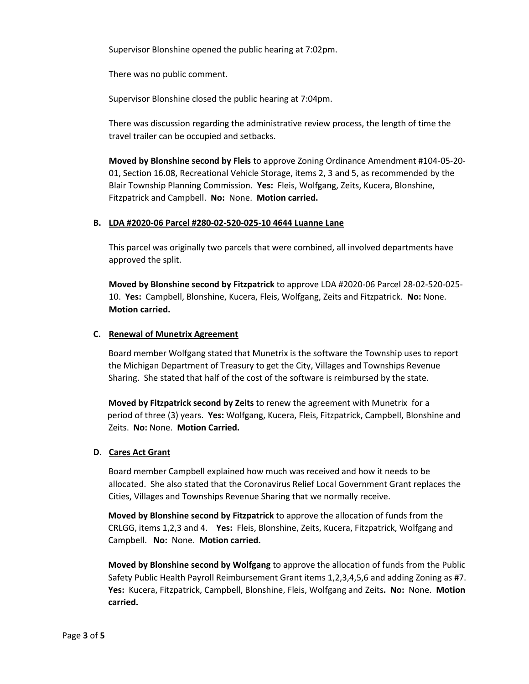Supervisor Blonshine opened the public hearing at 7:02pm.

There was no public comment.

Supervisor Blonshine closed the public hearing at 7:04pm.

There was discussion regarding the administrative review process, the length of time the travel trailer can be occupied and setbacks.

**Moved by Blonshine second by Fleis** to approve Zoning Ordinance Amendment #104-05-20- 01, Section 16.08, Recreational Vehicle Storage, items 2, 3 and 5, as recommended by the Blair Township Planning Commission. **Yes:** Fleis, Wolfgang, Zeits, Kucera, Blonshine, Fitzpatrick and Campbell. **No:** None. **Motion carried.**

### **B. LDA #2020-06 Parcel #280-02-520-025-10 4644 Luanne Lane**

This parcel was originally two parcels that were combined, all involved departments have approved the split.

**Moved by Blonshine second by Fitzpatrick** to approve LDA #2020-06 Parcel 28-02-520-025- 10. **Yes:** Campbell, Blonshine, Kucera, Fleis, Wolfgang, Zeits and Fitzpatrick. **No:** None. **Motion carried.**

### **C. Renewal of Munetrix Agreement**

Board member Wolfgang stated that Munetrix is the software the Township uses to report the Michigan Department of Treasury to get the City, Villages and Townships Revenue Sharing. She stated that half of the cost of the software is reimbursed by the state.

 **Moved by Fitzpatrick second by Zeits** to renew the agreement with Munetrix for a period of three (3) years. **Yes:** Wolfgang, Kucera, Fleis, Fitzpatrick, Campbell, Blonshine and Zeits. **No:** None. **Motion Carried.** 

#### **D. Cares Act Grant**

 Board member Campbell explained how much was received and how it needs to be allocated. She also stated that the Coronavirus Relief Local Government Grant replaces the Cities, Villages and Townships Revenue Sharing that we normally receive.

**Moved by Blonshine second by Fitzpatrick** to approve the allocation of funds from the CRLGG, items 1,2,3 and 4. **Yes:** Fleis, Blonshine, Zeits, Kucera, Fitzpatrick, Wolfgang and Campbell. **No:** None. **Motion carried.** 

**Moved by Blonshine second by Wolfgang** to approve the allocation of funds from the Public Safety Public Health Payroll Reimbursement Grant items 1,2,3,4,5,6 and adding Zoning as #7. **Yes:** Kucera, Fitzpatrick, Campbell, Blonshine, Fleis, Wolfgang and Zeits**. No:** None. **Motion carried.**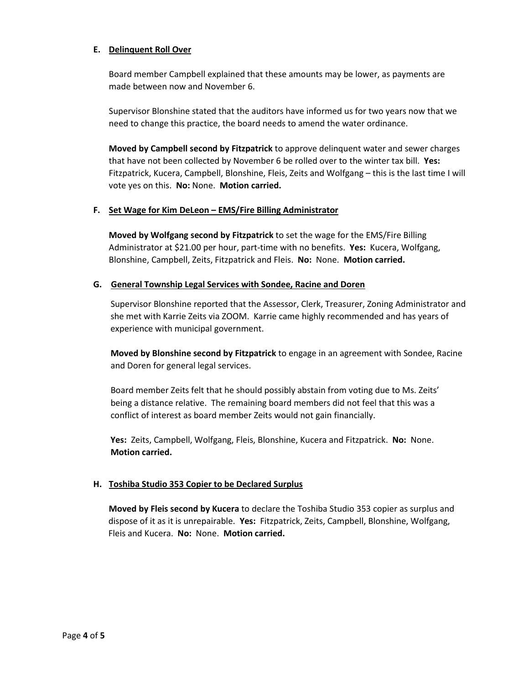# **E. Delinquent Roll Over**

Board member Campbell explained that these amounts may be lower, as payments are made between now and November 6.

Supervisor Blonshine stated that the auditors have informed us for two years now that we need to change this practice, the board needs to amend the water ordinance.

**Moved by Campbell second by Fitzpatrick** to approve delinquent water and sewer charges that have not been collected by November 6 be rolled over to the winter tax bill. **Yes:**  Fitzpatrick, Kucera, Campbell, Blonshine, Fleis, Zeits and Wolfgang – this is the last time I will vote yes on this. **No:** None. **Motion carried.** 

# **F. Set Wage for Kim DeLeon – EMS/Fire Billing Administrator**

**Moved by Wolfgang second by Fitzpatrick** to set the wage for the EMS/Fire Billing Administrator at \$21.00 per hour, part-time with no benefits. **Yes:** Kucera, Wolfgang, Blonshine, Campbell, Zeits, Fitzpatrick and Fleis. **No:** None. **Motion carried.**

# **G. General Township Legal Services with Sondee, Racine and Doren**

 Supervisor Blonshine reported that the Assessor, Clerk, Treasurer, Zoning Administrator and she met with Karrie Zeits via ZOOM. Karrie came highly recommended and has years of experience with municipal government.

 **Moved by Blonshine second by Fitzpatrick** to engage in an agreement with Sondee, Racine and Doren for general legal services.

 Board member Zeits felt that he should possibly abstain from voting due to Ms. Zeits' being a distance relative. The remaining board members did not feel that this was a conflict of interest as board member Zeits would not gain financially.

 **Yes:** Zeits, Campbell, Wolfgang, Fleis, Blonshine, Kucera and Fitzpatrick. **No:** None. **Motion carried.**

# **H. Toshiba Studio 353 Copier to be Declared Surplus**

**Moved by Fleis second by Kucera** to declare the Toshiba Studio 353 copier as surplus and dispose of it as it is unrepairable. **Yes:** Fitzpatrick, Zeits, Campbell, Blonshine, Wolfgang, Fleis and Kucera. **No:** None. **Motion carried.**